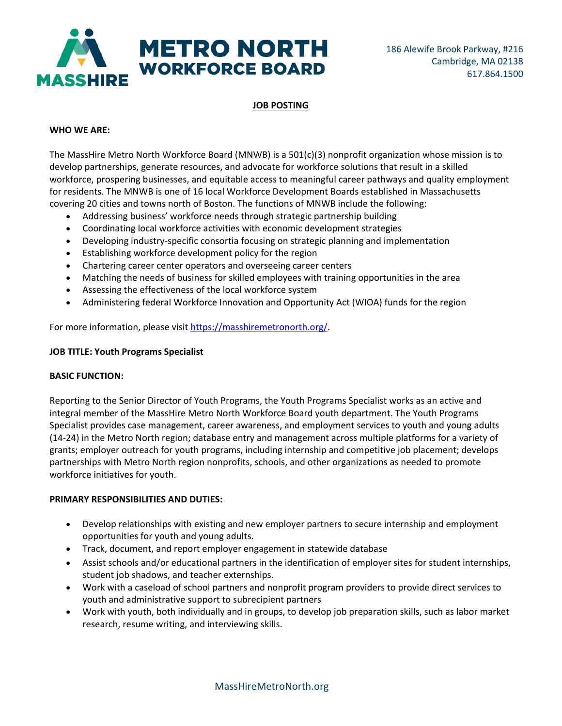

# **JOB POSTING**

## **WHO WE ARE:**

The MassHire Metro North Workforce Board (MNWB) is a 501(c)(3) nonprofit organization whose mission is to develop partnerships, generate resources, and advocate for workforce solutions that result in a skilled workforce, prospering businesses, and equitable access to meaningful career pathways and quality employment for residents. The MNWB is one of 16 local Workforce Development Boards established in Massachusetts covering 20 cities and towns north of Boston. The functions of MNWB include the following:

- Addressing business' workforce needs through strategic partnership building
- Coordinating local workforce activities with economic development strategies
- Developing industry-specific consortia focusing on strategic planning and implementation
- Establishing workforce development policy for the region
- Chartering career center operators and overseeing career centers
- Matching the needs of business for skilled employees with training opportunities in the area
- Assessing the effectiveness of the local workforce system
- Administering federal Workforce Innovation and Opportunity Act (WIOA) funds for the region

For more information, please visi[t https://masshiremetronorth.org/.](https://masshiremetronorth.org/)

## **JOB TITLE: Youth Programs Specialist**

### **BASIC FUNCTION:**

Reporting to the Senior Director of Youth Programs, the Youth Programs Specialist works as an active and integral member of the MassHire Metro North Workforce Board youth department. The Youth Programs Specialist provides case management, career awareness, and employment services to youth and young adults (14-24) in the Metro North region; database entry and management across multiple platforms for a variety of grants; employer outreach for youth programs, including internship and competitive job placement; develops partnerships with Metro North region nonprofits, schools, and other organizations as needed to promote workforce initiatives for youth.

## **PRIMARY RESPONSIBILITIES AND DUTIES:**

- Develop relationships with existing and new employer partners to secure internship and employment opportunities for youth and young adults.
- Track, document, and report employer engagement in statewide database
- Assist schools and/or educational partners in the identification of employer sites for student internships, student job shadows, and teacher externships.
- Work with a caseload of school partners and nonprofit program providers to provide direct services to youth and administrative support to subrecipient partners
- Work with youth, both individually and in groups, to develop job preparation skills, such as labor market research, resume writing, and interviewing skills.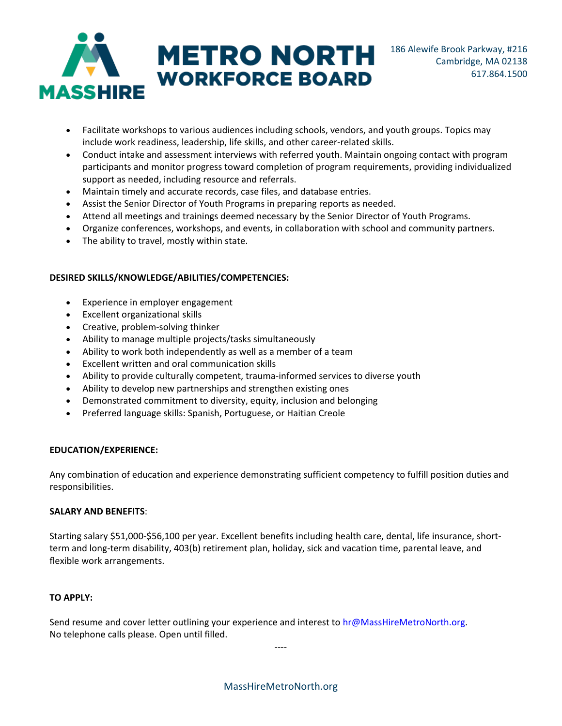

- Facilitate workshops to various audiences including schools, vendors, and youth groups. Topics may include work readiness, leadership, life skills, and other career-related skills.
- Conduct intake and assessment interviews with referred youth. Maintain ongoing contact with program participants and monitor progress toward completion of program requirements, providing individualized support as needed, including resource and referrals.
- Maintain timely and accurate records, case files, and database entries.
- Assist the Senior Director of Youth Programs in preparing reports as needed.
- Attend all meetings and trainings deemed necessary by the Senior Director of Youth Programs.
- Organize conferences, workshops, and events, in collaboration with school and community partners.
- The ability to travel, mostly within state.

## **DESIRED SKILLS/KNOWLEDGE/ABILITIES/COMPETENCIES:**

- Experience in employer engagement
- Excellent organizational skills
- Creative, problem-solving thinker
- Ability to manage multiple projects/tasks simultaneously
- Ability to work both independently as well as a member of a team
- Excellent written and oral communication skills
- Ability to provide culturally competent, trauma-informed services to diverse youth
- Ability to develop new partnerships and strengthen existing ones
- Demonstrated commitment to diversity, equity, inclusion and belonging
- Preferred language skills: Spanish, Portuguese, or Haitian Creole

### **EDUCATION/EXPERIENCE:**

Any combination of education and experience demonstrating sufficient competency to fulfill position duties and responsibilities.

### **SALARY AND BENEFITS**:

Starting salary \$51,000-\$56,100 per year. Excellent benefits including health care, dental, life insurance, shortterm and long-term disability, 403(b) retirement plan, holiday, sick and vacation time, parental leave, and flexible work arrangements.

### **TO APPLY:**

Send resume and cover letter outlining your experience and interest to [hr@MassHireMetroNorth.org.](mailto:hr@MassHireMetroNorth.org) No telephone calls please. Open until filled.

----